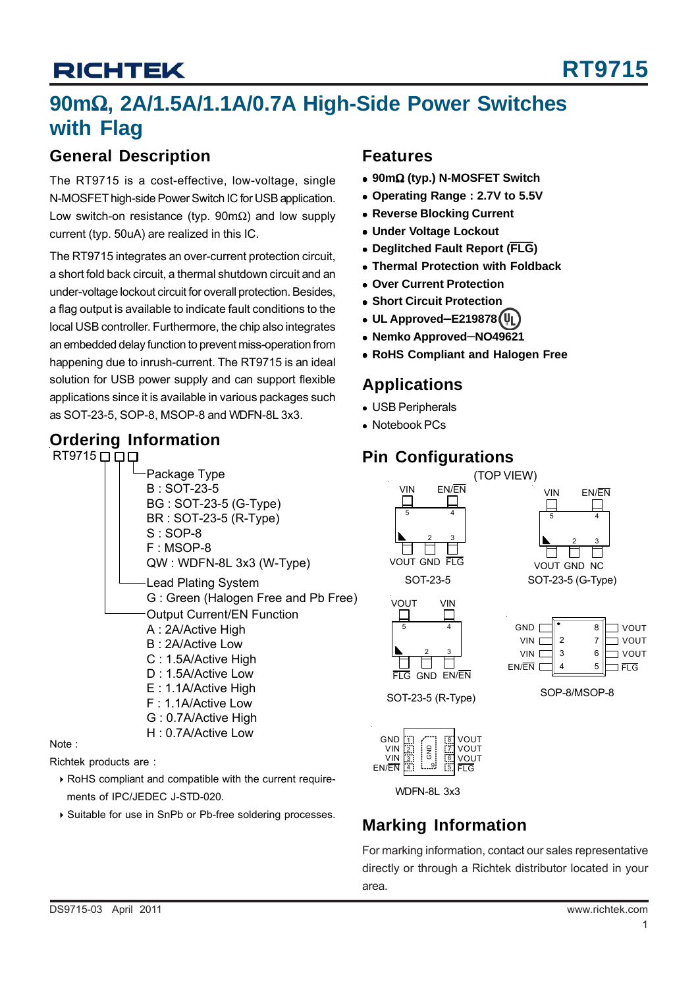## **90m**Ω**, 2A/1.5A/1.1A/0.7A High-Side Power Switches with Flag**

### **General Description**

The RT9715 is a cost-effective, low-voltage, single N-MOSFET high-side Power Switch IC for USB application. Low switch-on resistance (typ. 90mΩ) and low supply current (typ. 50uA) are realized in this IC.

The RT9715 integrates an over-current protection circuit, a short fold back circuit, a thermal shutdown circuit and an under-voltage lockout circuit for overall protection. Besides, a flag output is available to indicate fault conditions to the local USB controller. Furthermore, the chip also integrates an embedded delay function to prevent miss-operation from happening due to inrush-current. The RT9715 is an ideal solution for USB power supply and can support flexible applications since it is available in various packages such as SOT-23-5, SOP-8, MSOP-8 and WDFN-8L 3x3.

### **Ordering Information**



Note :

Richtek products are :

- $\triangleright$  RoHS compliant and compatible with the current requirements of IPC/JEDEC J-STD-020.
- ` Suitable for use in SnPb or Pb-free soldering processes.

### **Features**

- <sup>z</sup> **90m**Ω **(typ.) N-MOSFET Switch**
- <sup>z</sup> **Operating Range : 2.7V to 5.5V**
- **Reverse Blocking Current**
- **Under Voltage Lockout**
- **Deglitched Fault Report (FLG)**
- <sup>z</sup> **Thermal Protection with Foldback**
- <sup>z</sup> **Over Current Protection**
- **Short Circuit Protection**
- <sup>z</sup> **UL Approved**−**E219878**
- <sup>z</sup> **Nemko Approved**−**NO49621**
- **RoHS Compliant and Halogen Free**

### **Applications**

- USB Peripherals
- Notebook PCs

### **Pin Configurations**



WDFN-8L 3x3

**EN/EN ED** L<sup>6</sup> B **B** YOUT

3 4

## **Marking Information**

6 5

For marking information, contact our sales representative directly or through a Richtek distributor located in your area.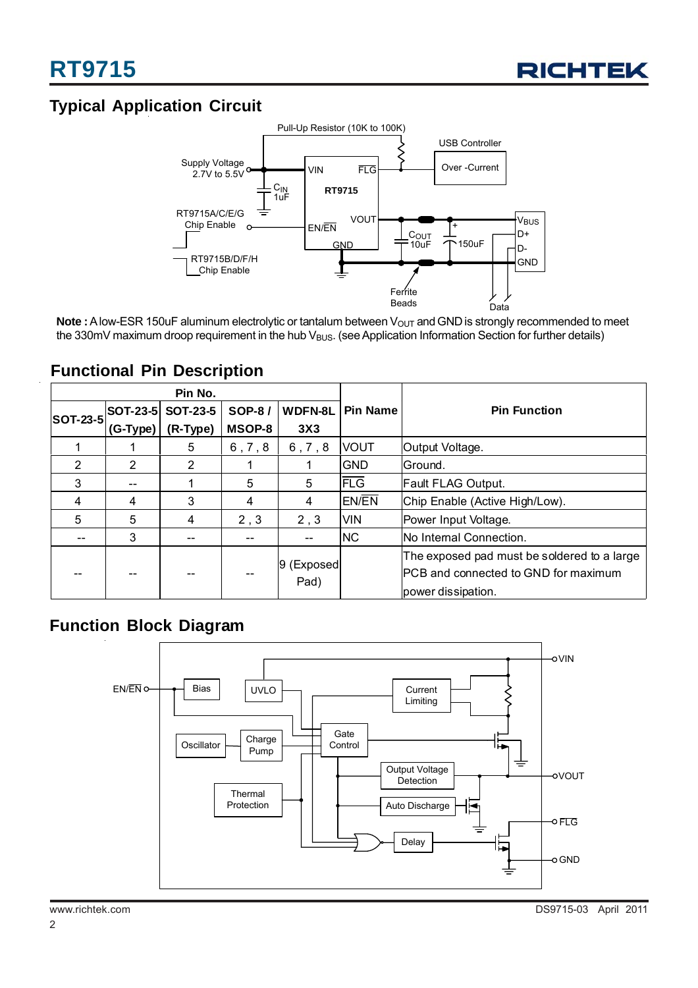

## **Typical Application Circuit**



**Note :** A low-ESR 150uF aluminum electrolytic or tantalum between V<sub>OUT</sub> and GND is strongly recommended to meet the 330mV maximum droop requirement in the hub  $V_{BUS}$ . (see Application Information Section for further details)

### **Functional Pin Description**

| Pin No.         |          |                    |               |                     |                 |                                                                                                            |
|-----------------|----------|--------------------|---------------|---------------------|-----------------|------------------------------------------------------------------------------------------------------------|
| <b>SOT-23-5</b> |          | SOT-23-5  SOT-23-5 | <b>SOP-8/</b> | <b>WDFN-8L</b>      | <b>Pin Name</b> | <b>Pin Function</b>                                                                                        |
|                 | (G-Type) | (R-Type)           | <b>MSOP-8</b> | 3X3                 |                 |                                                                                                            |
|                 |          | 5                  | 6, 7, 8       | 6, 7, 8             | <b>IVOUT</b>    | Output Voltage.                                                                                            |
| 2               | 2        | $\overline{2}$     |               |                     | <b>GND</b>      | Ground.                                                                                                    |
| 3               | --       |                    | 5             | 5                   | <b>FLG</b>      | <b>Fault FLAG Output.</b>                                                                                  |
| 4               | 4        | 3                  | 4             | 4                   | <b>EN/EN</b>    | Chip Enable (Active High/Low).                                                                             |
| 5               | 5        | 4                  | 2, 3          | 2, 3                | <b>VIN</b>      | Power Input Voltage.                                                                                       |
|                 | 3        |                    |               | --                  | <b>NC</b>       | INo Internal Connection.                                                                                   |
|                 |          |                    |               | 9 (Exposed)<br>Pad) |                 | The exposed pad must be soldered to a large<br>IPCB and connected to GND for maximum<br>power dissipation. |

### **Function Block Diagram**

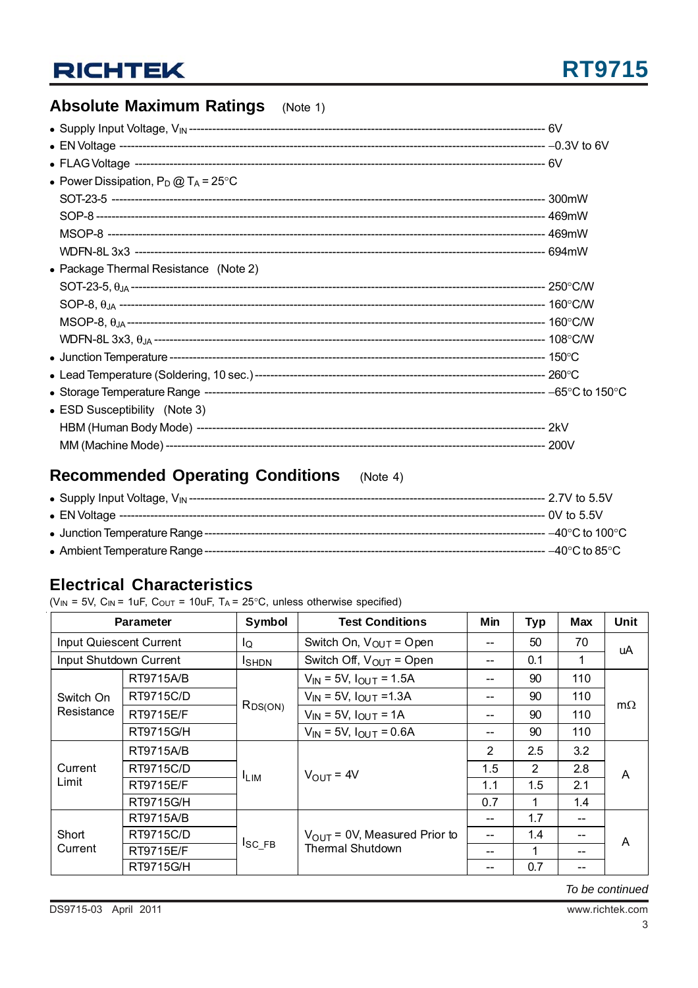## **Absolute Maximum Ratings** (Note 1)

| • Power Dissipation, $P_D @ T_A = 25^{\circ}C$ |  |
|------------------------------------------------|--|
|                                                |  |
|                                                |  |
|                                                |  |
|                                                |  |
| • Package Thermal Resistance (Note 2)          |  |
|                                                |  |
|                                                |  |
|                                                |  |
|                                                |  |
|                                                |  |
|                                                |  |
|                                                |  |
| • ESD Susceptibility (Note 3)                  |  |
|                                                |  |
|                                                |  |

## **Recommended Operating Conditions** (Note 4)

|  | ----- 2.7V to 5.5V                 |
|--|------------------------------------|
|  |                                    |
|  | --- –40°C to 100°C                 |
|  | $-40^{\circ}$ C to 85 $^{\circ}$ C |

## **Electrical Characteristics**

( $V_{IN}$  = 5V,  $C_{IN}$  = 1uF,  $C_{OUT}$  = 10uF,  $T_A$  = 25°C, unless otherwise specified)

|                         | <b>Parameter</b> | Symbol           | <b>Test Conditions</b>                                                                                                                                                                                                          | Min            | <b>Typ</b> | <b>Max</b> | Unit      |  |
|-------------------------|------------------|------------------|---------------------------------------------------------------------------------------------------------------------------------------------------------------------------------------------------------------------------------|----------------|------------|------------|-----------|--|
| Input Quiescent Current |                  | Ιo               | Switch On, $V_{OUT} = Open$                                                                                                                                                                                                     |                | 50         | 70         | uA        |  |
| Input Shutdown Current  |                  | <b>I</b> SHDN    | Switch Off, $V_{OUT}$ = Open                                                                                                                                                                                                    | 0.1<br>1<br>-- |            |            |           |  |
|                         | <b>RT9715A/B</b> |                  | $V_{IN}$ = 5V, $I_{OUT}$ = 1.5A                                                                                                                                                                                                 |                | 90         | 110        |           |  |
| Switch On               | RT9715C/D        |                  | $V_{IN}$ = 5V, $I_{OUT}$ =1.3A                                                                                                                                                                                                  | --             | 90         | 110        | $m\Omega$ |  |
| Resistance              | <b>RT9715E/F</b> | $R_{DS(ON)}$     | $V_{IN}$ = 5V, $I_{OUT}$ = 1A                                                                                                                                                                                                   |                | 90         | 110        |           |  |
|                         | RT9715G/H        |                  | $V_{IN}$ = 5V, $I_{OUT}$ = 0.6A<br>90<br>--<br>2<br>2.5<br>1.5<br>2<br>$V_{\text{OUT}} = 4V$<br>1.1<br>1.5<br>0.7<br>1.7<br>--<br>$V_{\text{OUT}}$ = 0V, Measured Prior to<br>1.4<br>--<br><b>Thermal Shutdown</b><br>--<br>0.7 | 110            |            |            |           |  |
| Current<br>Limit        | <b>RT9715A/B</b> | <sup>I</sup> LIM |                                                                                                                                                                                                                                 |                |            | 3.2        | A         |  |
|                         | RT9715C/D        |                  |                                                                                                                                                                                                                                 |                |            | 2.8        |           |  |
|                         | <b>RT9715E/F</b> |                  |                                                                                                                                                                                                                                 |                |            | 2.1        |           |  |
|                         | RT9715G/H        |                  |                                                                                                                                                                                                                                 |                |            | 1.4        |           |  |
|                         | <b>RT9715A/B</b> | $I_{SC\_FB}$     |                                                                                                                                                                                                                                 |                |            | --         |           |  |
| Short                   | RT9715C/D        |                  |                                                                                                                                                                                                                                 |                |            |            | A         |  |
| Current                 | <b>RT9715E/F</b> |                  |                                                                                                                                                                                                                                 |                |            |            |           |  |
|                         | RT9715G/H        |                  |                                                                                                                                                                                                                                 |                |            | --         |           |  |

*To be continued*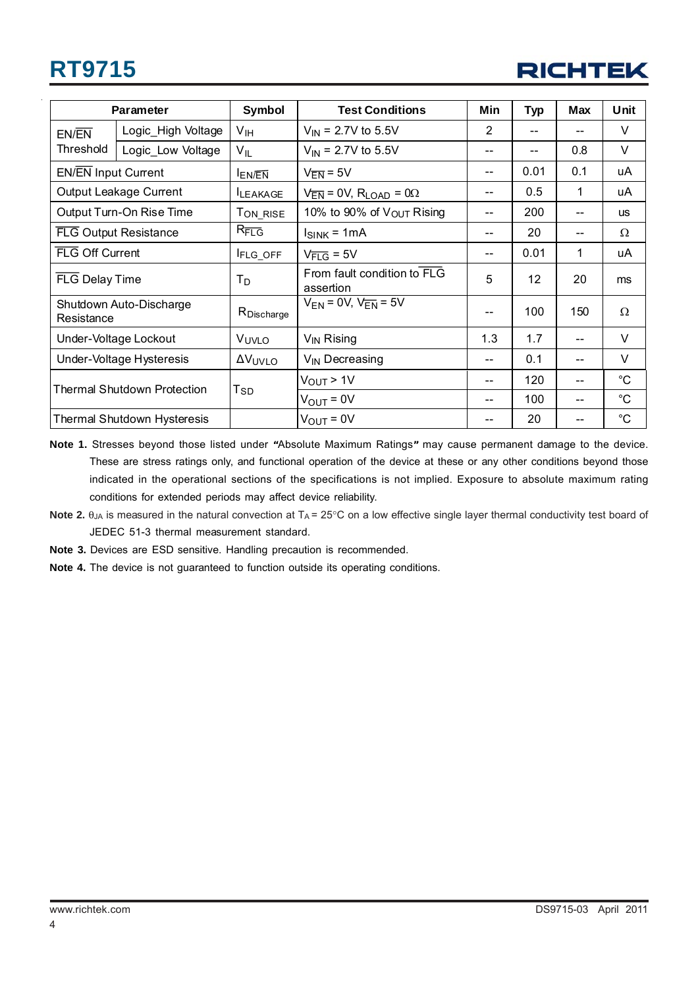

|                            | <b>Parameter</b>             | Symbol               | <b>Test Conditions</b>                          | Min            | <b>Typ</b> | <b>Max</b> | Unit        |
|----------------------------|------------------------------|----------------------|-------------------------------------------------|----------------|------------|------------|-------------|
| EN/EN                      | Logic_High Voltage           | V <sub>IH</sub>      | $V_{IN}$ = 2.7V to 5.5V                         | $\overline{2}$ |            | --         | V           |
| Threshold                  | Logic_Low Voltage            | $V_{IL}$             | $V_{IN}$ = 2.7V to 5.5V                         | $-$            | $-$        | 0.8        | V           |
| <b>EN/EN Input Current</b> |                              | <b>ENEN</b>          | $V_{\overline{EN}} = 5V$                        |                | 0.01       | 0.1        | uA          |
|                            | Output Leakage Current       | <b>ILEAKAGE</b>      | $V_{\overline{EN}} = 0V$ , $R_{LOAD} = 0\Omega$ | --             | 0.5        | 1          | uA          |
|                            | Output Turn-On Rise Time     | T <sub>ON_RISE</sub> | 10% to 90% of $V_{\text{OUT}}$ Rising           |                | 200        | $- -$      | <b>us</b>   |
|                            | <b>FLG Output Resistance</b> | $R_{\overline{FLG}}$ | $I_{SINK} = 1mA$                                | --             | 20         | --         | $\Omega$    |
|                            | FLG Off Current              |                      | $V_{\overline{FLG}}$ = 5V                       | --             | 0.01       | 1          | uA          |
| FLG Delay Time             |                              | Тp                   | From fault condition to FLG<br>assertion        | 5              | 12         | 20         | ms          |
| Resistance                 | Shutdown Auto-Discharge      | RDischarge           | $V_{EN}$ = 0V, $V_{EN}$ = 5V                    | --             | 100        | 150        | $\Omega$    |
|                            | Under-Voltage Lockout        |                      | $V_{\text{IN}}$ Rising                          | 1.3            | 1.7        | $-$        | $\vee$      |
|                            | Under-Voltage Hysteresis     | ΔV <sub>UVLO</sub>   | V <sub>IN</sub> Decreasing                      | --             | 0.1        | $-$        | V           |
|                            |                              |                      | $V_{OUT}$ > 1V                                  |                | 120        | --         | $^{\circ}C$ |
|                            | Thermal Shutdown Protection  | Tsp                  | $V_{\text{OUT}} = 0V$                           | --             | 100        | $- -$      | $^{\circ}C$ |
|                            | Thermal Shutdown Hysteresis  |                      | $V_{\text{OUT}} = 0V$                           |                | 20         |            | $^{\circ}C$ |

**Note 1.** Stresses beyond those listed under **"**Absolute Maximum Ratings**"** may cause permanent damage to the device. These are stress ratings only, and functional operation of the device at these or any other conditions beyond those indicated in the operational sections of the specifications is not implied. Exposure to absolute maximum rating conditions for extended periods may affect device reliability.

- Note 2. θ<sub>JA</sub> is measured in the natural convection at T<sub>A</sub> = 25°C on a low effective single layer thermal conductivity test board of JEDEC 51-3 thermal measurement standard.
- **Note 3.** Devices are ESD sensitive. Handling precaution is recommended.
- **Note 4.** The device is not guaranteed to function outside its operating conditions.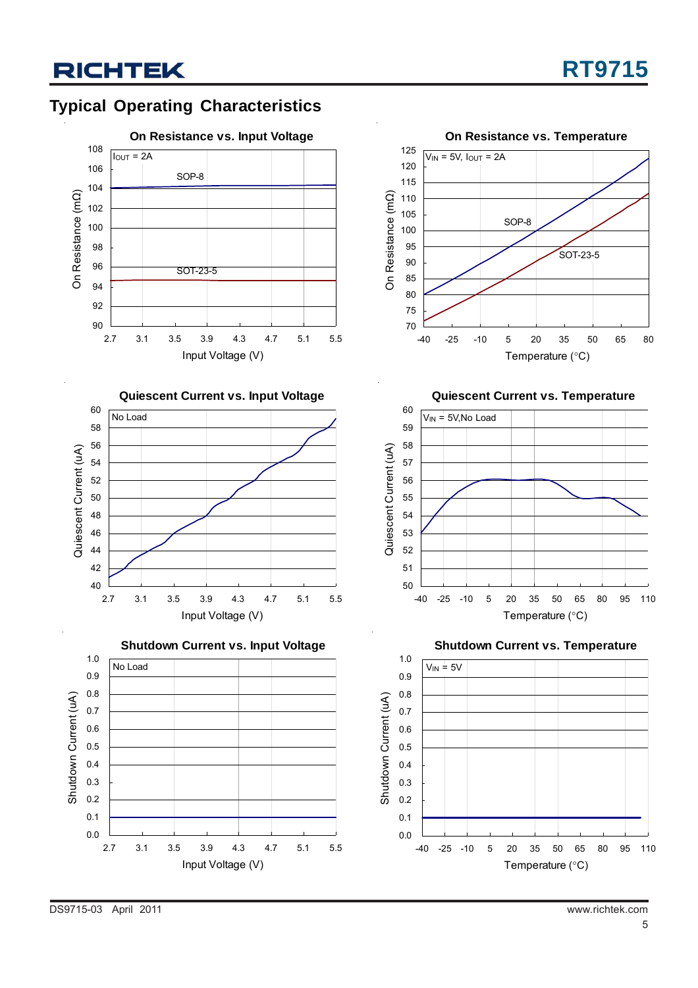## **Typical Operating Characteristics**



**Quiescent Current vs. Input Voltage**









**Quiescent Current vs. Temperature**



**Shutdown Current vs. Temperature**

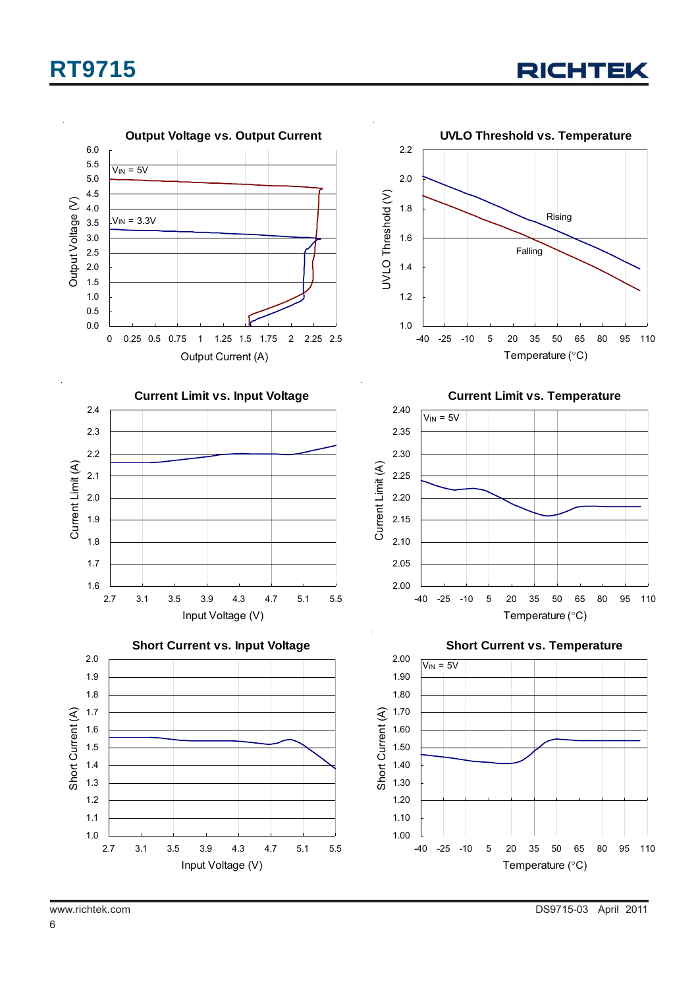



6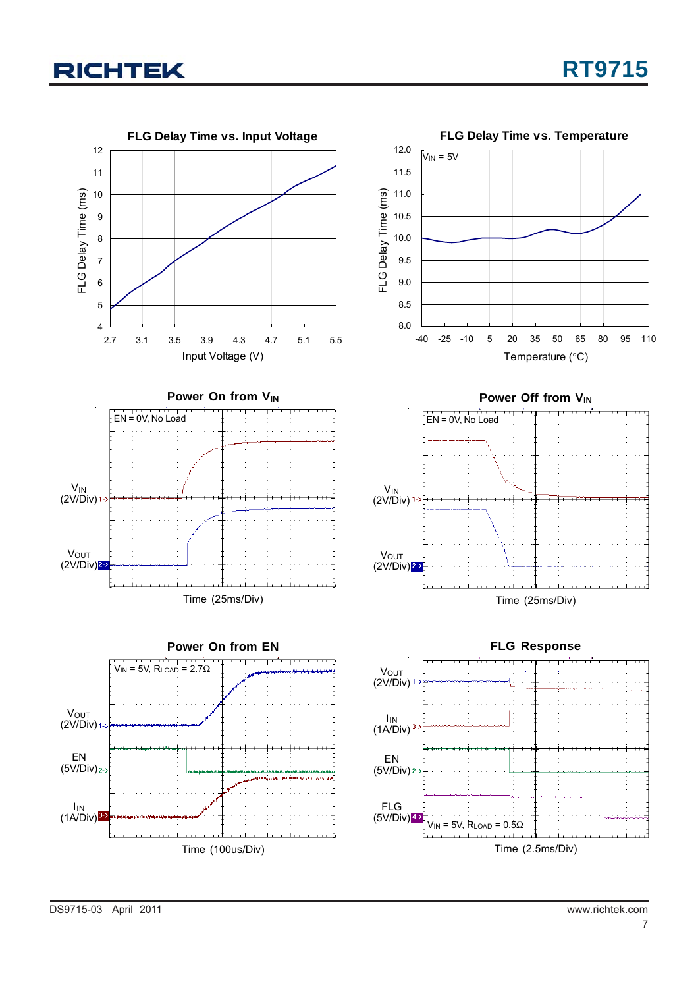

DS9715-03 April 2011 www.richtek.com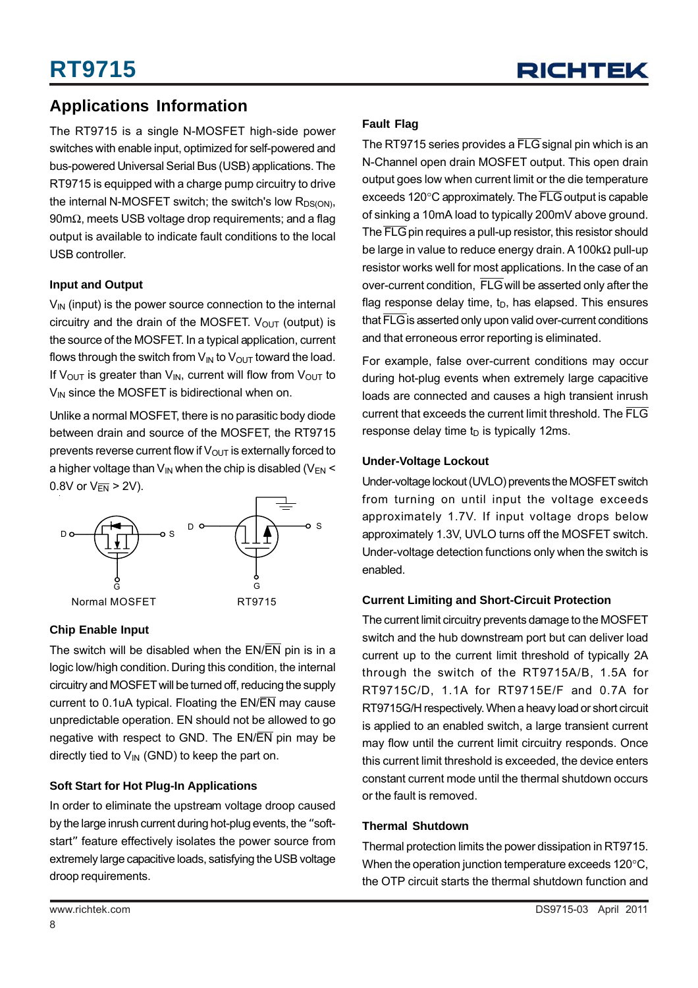

### **Applications Information**

The RT9715 is a single N-MOSFET high-side power switches with enable input, optimized for self-powered and bus-powered Universal Serial Bus (USB) applications. The RT9715 is equipped with a charge pump circuitry to drive the internal N-MOSFET switch; the switch's low  $R_{DS(ON)}$ , 90mΩ, meets USB voltage drop requirements; and a flag output is available to indicate fault conditions to the local USB controller.

#### **Input and Output**

 $V_{IN}$  (input) is the power source connection to the internal circuitry and the drain of the MOSFET.  $V_{OUT}$  (output) is the source of the MOSFET. In a typical application, current flows through the switch from  $V_{IN}$  to  $V_{OUT}$  toward the load. If V<sub>OUT</sub> is greater than V<sub>IN</sub>, current will flow from V<sub>OUT</sub> to  $V_{IN}$  since the MOSFET is bidirectional when on.

Unlike a normal MOSFET, there is no parasitic body diode between drain and source of the MOSFET, the RT9715 prevents reverse current flow if  $V_{OUT}$  is externally forced to a higher voltage than  $V_{IN}$  when the chip is disabled ( $V_{EN}$  < 0.8V or  $V_{\overline{EN}} > 2V$ ).



#### **Chip Enable Input**

The switch will be disabled when the  $EN/\overline{EN}$  pin is in a logic low/high condition. During this condition, the internal circuitry and MOSFET will be turned off, reducing the supply current to 0.1uA typical. Floating the EN/EN may cause unpredictable operation. EN should not be allowed to go negative with respect to GND. The  $EN/\overline{EN}$  pin may be directly tied to  $V_{IN}$  (GND) to keep the part on.

#### **Soft Start for Hot Plug-In Applications**

In order to eliminate the upstream voltage droop caused by the large inrush current during hot-plug events, the "softstart" feature effectively isolates the power source from extremely large capacitive loads, satisfying the USB voltage droop requirements.

#### **Fault Flag**

The RT9715 series provides a FLG signal pin which is an N-Channel open drain MOSFET output. This open drain output goes low when current limit or the die temperature exceeds 120°C approximately. The FLG output is capable of sinking a 10mA load to typically 200mV above ground. The FLG pin requires a pull-up resistor, this resistor should be large in value to reduce energy drain. A 100kΩ pull-up resistor works well for most applications. In the case of an over-current condition, FLG will be asserted only after the flag response delay time,  $t_D$ , has elapsed. This ensures that FLG is asserted only upon valid over-current conditions and that erroneous error reporting is eliminated.

For example, false over-current conditions may occur during hot-plug events when extremely large capacitive loads are connected and causes a high transient inrush current that exceeds the current limit threshold. The FLG response delay time  $t<sub>D</sub>$  is typically 12ms.

#### **Under-Voltage Lockout**

Under-voltage lockout (UVLO) prevents the MOSFET switch from turning on until input the voltage exceeds approximately 1.7V. If input voltage drops below approximately 1.3V, UVLO turns off the MOSFET switch. Under-voltage detection functions only when the switch is enabled.

#### **Current Limiting and Short-Circuit Protection**

The current limit circuitry prevents damage to the MOSFET switch and the hub downstream port but can deliver load current up to the current limit threshold of typically 2A through the switch of the RT9715A/B, 1.5A for RT9715C/D, 1.1A for RT9715E/F and 0.7A for RT9715G/H respectively. When a heavy load or short circuit is applied to an enabled switch, a large transient current may flow until the current limit circuitry responds. Once this current limit threshold is exceeded, the device enters constant current mode until the thermal shutdown occurs or the fault is removed.

#### **Thermal Shutdown**

Thermal protection limits the power dissipation in RT9715. When the operation junction temperature exceeds 120°C, the OTP circuit starts the thermal shutdown function and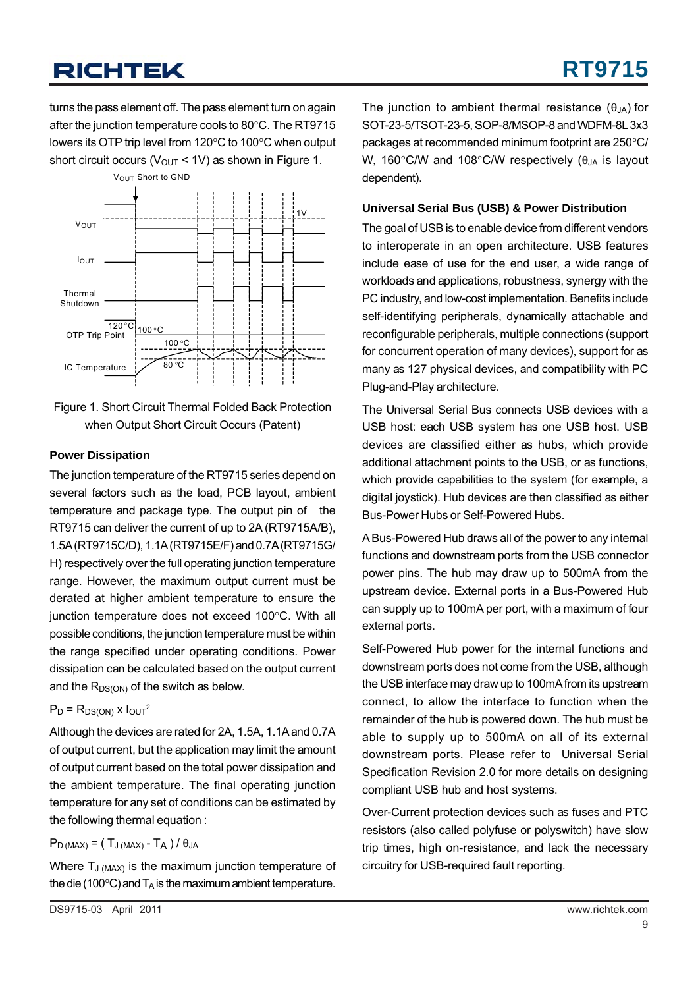turns the pass element off. The pass element turn on again after the junction temperature cools to 80°C. The RT9715 lowers its OTP trip level from 120°C to 100°C when output short circuit occurs ( $V_{\text{OUT}}$  < 1V) as shown in Figure 1.



Figure 1. Short Circuit Thermal Folded Back Protection when Output Short Circuit Occurs (Patent)

#### **Power Dissipation**

The junction temperature of the RT9715 series depend on several factors such as the load, PCB layout, ambient temperature and package type. The output pin of the RT9715 can deliver the current of up to 2A (RT9715A/B), 1.5A (RT9715C/D), 1.1A (RT9715E/F) and 0.7A (RT9715G/ H) respectively over the full operating junction temperature range. However, the maximum output current must be derated at higher ambient temperature to ensure the junction temperature does not exceed 100°C. With all possible conditions, the junction temperature must be within the range specified under operating conditions. Power dissipation can be calculated based on the output current and the  $R_{DS(ON)}$  of the switch as below.

#### $P_D = R_{DS(ON)} x 1<sub>OUT</sub><sup>2</sup>$

Although the devices are rated for 2A, 1.5A, 1.1A and 0.7A of output current, but the application may limit the amount of output current based on the total power dissipation and the ambient temperature. The final operating junction temperature for any set of conditions can be estimated by the following thermal equation :

### $P_{D (MAX)} = (T_{J (MAX)} - T_{A}) / \theta_{JA}$

Where  $T_{J (MAX)}$  is the maximum junction temperature of the die (100 $^{\circ}$ C) and  $T_A$  is the maximum ambient temperature.

The junction to ambient thermal resistance  $(\theta_{JA})$  for SOT-23-5/TSOT-23-5, SOP-8/MSOP-8 and WDFM-8L 3x3 packages at recommended minimum footprint are 250°C/ W, 160 $\degree$ C/W and 108 $\degree$ C/W respectively ( $\theta_{JA}$  is layout dependent).

#### **Universal Serial Bus (USB) & Power Distribution**

The goal of USB is to enable device from different vendors to interoperate in an open architecture. USB features include ease of use for the end user, a wide range of workloads and applications, robustness, synergy with the PC industry, and low-cost implementation. Benefits include self-identifying peripherals, dynamically attachable and reconfigurable peripherals, multiple connections (support for concurrent operation of many devices), support for as many as 127 physical devices, and compatibility with PC Plug-and-Play architecture.

The Universal Serial Bus connects USB devices with a USB host: each USB system has one USB host. USB devices are classified either as hubs, which provide additional attachment points to the USB, or as functions, which provide capabilities to the system (for example, a digital joystick). Hub devices are then classified as either Bus-Power Hubs or Self-Powered Hubs.

A Bus-Powered Hub draws all of the power to any internal functions and downstream ports from the USB connector power pins. The hub may draw up to 500mA from the upstream device. External ports in a Bus-Powered Hub can supply up to 100mA per port, with a maximum of four external ports.

Self-Powered Hub power for the internal functions and downstream ports does not come from the USB, although the USB interface may draw up to 100mA from its upstream connect, to allow the interface to function when the remainder of the hub is powered down. The hub must be able to supply up to 500mA on all of its external downstream ports. Please refer to Universal Serial Specification Revision 2.0 for more details on designing compliant USB hub and host systems.

Over-Current protection devices such as fuses and PTC resistors (also called polyfuse or polyswitch) have slow trip times, high on-resistance, and lack the necessary circuitry for USB-required fault reporting.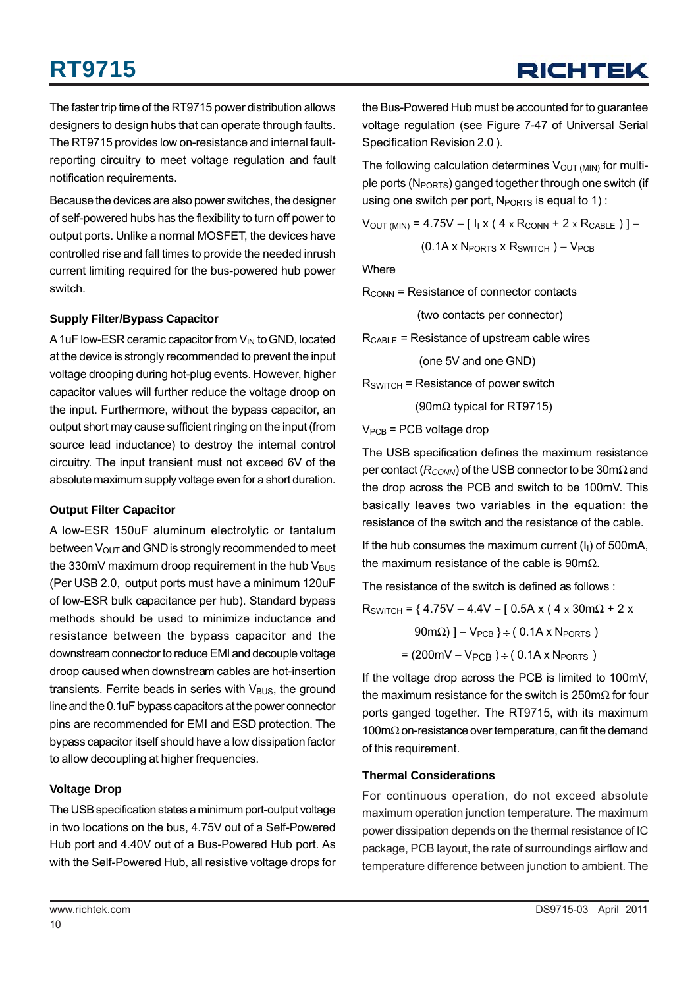The faster trip time of the RT9715 power distribution allows designers to design hubs that can operate through faults. The RT9715 provides low on-resistance and internal faultreporting circuitry to meet voltage regulation and fault notification requirements.

Because the devices are also power switches, the designer of self-powered hubs has the flexibility to turn off power to output ports. Unlike a normal MOSFET, the devices have controlled rise and fall times to provide the needed inrush current limiting required for the bus-powered hub power switch.

#### **Supply Filter/Bypass Capacitor**

A 1uF low-ESR ceramic capacitor from  $V_{IN}$  to GND, located at the device is strongly recommended to prevent the input voltage drooping during hot-plug events. However, higher capacitor values will further reduce the voltage droop on the input. Furthermore, without the bypass capacitor, an output short may cause sufficient ringing on the input (from source lead inductance) to destroy the internal control circuitry. The input transient must not exceed 6V of the absolute maximum supply voltage even for a short duration.

#### **Output Filter Capacitor**

A low-ESR 150uF aluminum electrolytic or tantalum between  $V_{\text{OUT}}$  and GND is strongly recommended to meet the 330mV maximum droop requirement in the hub  $V_{\text{BUS}}$ (Per USB 2.0, output ports must have a minimum 120uF of low-ESR bulk capacitance per hub). Standard bypass methods should be used to minimize inductance and resistance between the bypass capacitor and the downstream connector to reduce EMI and decouple voltage droop caused when downstream cables are hot-insertion transients. Ferrite beads in series with  $V_{\text{BUS}}$ , the ground line and the 0.1uF bypass capacitors at the power connector pins are recommended for EMI and ESD protection. The bypass capacitor itself should have a low dissipation factor to allow decoupling at higher frequencies.

#### **Voltage Drop**

The USB specification states a minimum port-output voltage in two locations on the bus, 4.75V out of a Self-Powered Hub port and 4.40V out of a Bus-Powered Hub port. As with the Self-Powered Hub, all resistive voltage drops for

the Bus-Powered Hub must be accounted for to guarantee voltage regulation (see Figure 7-47 of Universal Serial Specification Revision 2.0 ).

The following calculation determines  $V<sub>OUT (MIN)</sub>$  for multiple ports (N<sub>PORTS</sub>) ganged together through one switch (if using one switch per port,  $N_{\text{PORTS}}$  is equal to 1):

$$
V_{OUT (MIN)} = 4.75V - [I1 x (4 x R_{CNN} + 2 x R_{CABLE}) ] -
$$

$$
(0.1A \times N_{\text{PORTS}} \times R_{\text{SWITCH}}) - V_{\text{PCB}}
$$

**Where** 

 $R_{\text{CONN}}$  = Resistance of connector contacts

(two contacts per connector)

 $R_{\text{CABLE}}$  = Resistance of upstream cable wires

(one 5V and one GND)

 $R_{SWITCH}$  = Resistance of power switch

(90mΩ typical for RT9715)

 $V_{PCB}$  = PCB voltage drop

The USB specification defines the maximum resistance per contact (*R<sub>CONN</sub>*) of the USB connector to be 30mΩ and the drop across the PCB and switch to be 100mV. This basically leaves two variables in the equation: the resistance of the switch and the resistance of the cable.

If the hub consumes the maximum current  $(I<sub>1</sub>)$  of 500mA, the maximum resistance of the cable is 90m $Ω$ .

The resistance of the switch is defined as follows :

 $R_{SWITCH}$  = { 4.75V – 4.4V – [ 0.5A x ( 4 x 30m $\Omega$  + 2 x  $90m\Omega$ ) ] – V<sub>PCB</sub> } ÷ (0.1A x N<sub>PORTS</sub>)  $= (200 \text{mV} - V_{PCB}) \div (0.1 \text{A} \times N_{PORTS})$ 

If the voltage drop across the PCB is limited to 100mV, the maximum resistance for the switch is 250m $\Omega$  for four ports ganged together. The RT9715, with its maximum 100m $\Omega$  on-resistance over temperature, can fit the demand of this requirement.

#### **Thermal Considerations**

For continuous operation, do not exceed absolute maximum operation junction temperature. The maximum power dissipation depends on the thermal resistance of IC package, PCB layout, the rate of surroundings airflow and temperature difference between junction to ambient. The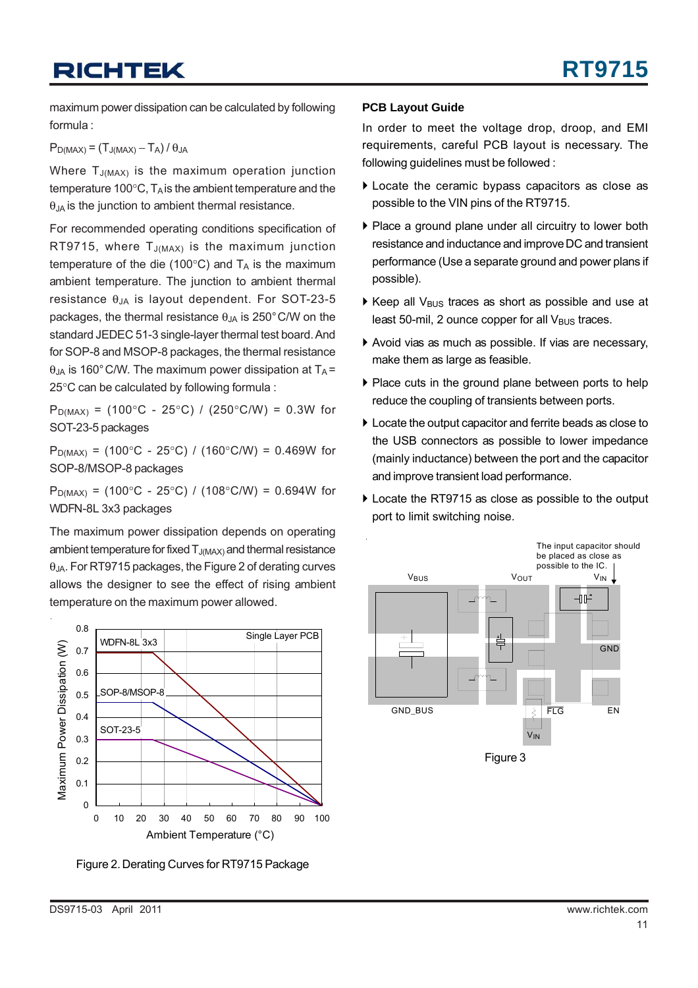maximum power dissipation can be calculated by following formula :

 $P_{D(MAX)} = (T_{J(MAX)} - T_A) / \theta_{JA}$ 

Where  $T_{J(MAX)}$  is the maximum operation junction temperature 100 $\degree$ C, T<sub>A</sub> is the ambient temperature and the  $\theta$ <sub>JA</sub> is the junction to ambient thermal resistance.

For recommended operating conditions specification of RT9715, where  $T_{J(MAX)}$  is the maximum junction temperature of the die (100 $^{\circ}$ C) and  $T_A$  is the maximum ambient temperature. The junction to ambient thermal resistance  $θ_{JA}$  is layout dependent. For SOT-23-5 packages, the thermal resistance  $\theta_{\text{JA}}$  is 250°C/W on the standard JEDEC 51-3 single-layer thermal test board. And for SOP-8 and MSOP-8 packages, the thermal resistance  $\theta_{JA}$  is 160°C/W. The maximum power dissipation at T<sub>A</sub> = 25°C can be calculated by following formula :

 $P_{D(MAX)} = (100^{\circ}C - 25^{\circ}C) / (250^{\circ}C/W) = 0.3W$  for SOT-23-5 packages

 $P_{D(MAX)} = (100^{\circ}C - 25^{\circ}C) / (160^{\circ}C/W) = 0.469W$  for SOP-8/MSOP-8 packages

 $P_{D(MAX)} = (100^{\circ}C - 25^{\circ}C) / (108^{\circ}C/W) = 0.694W$  for WDFN-8L 3x3 packages

The maximum power dissipation depends on operating ambient temperature for fixed  $T_{J(MAX)}$  and thermal resistance  $\theta$ <sub>JA</sub>. For RT9715 packages, the Figure 2 of derating curves allows the designer to see the effect of rising ambient temperature on the maximum power allowed.



Figure 2. Derating Curves for RT9715 Package

#### **PCB Layout Guide**

In order to meet the voltage drop, droop, and EMI requirements, careful PCB layout is necessary. The following guidelines must be followed :

- $\blacktriangleright$  Locate the ceramic bypass capacitors as close as possible to the VIN pins of the RT9715.
- ` Place a ground plane under all circuitry to lower both resistance and inductance and improve DC and transient performance (Use a separate ground and power plans if possible).
- $\triangleright$  Keep all V<sub>BUS</sub> traces as short as possible and use at least 50-mil, 2 ounce copper for all  $V_{\text{BUS}}$  traces.
- ` Avoid vias as much as possible. If vias are necessary, make them as large as feasible.
- $\blacktriangleright$  Place cuts in the ground plane between ports to help reduce the coupling of transients between ports.
- $\blacktriangleright$  Locate the output capacitor and ferrite beads as close to the USB connectors as possible to lower impedance (mainly inductance) between the port and the capacitor and improve transient load performance.
- ▶ Locate the RT9715 as close as possible to the output port to limit switching noise.

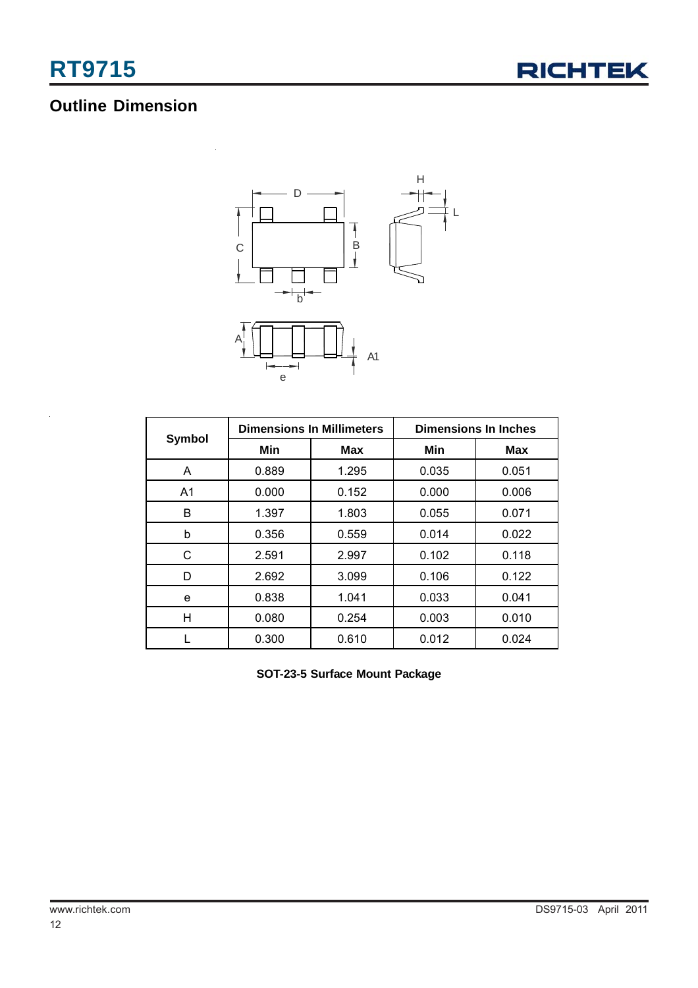

## **Outline Dimension**



|                |       | <b>Dimensions In Millimeters</b> | <b>Dimensions In Inches</b> |            |  |
|----------------|-------|----------------------------------|-----------------------------|------------|--|
| <b>Symbol</b>  | Min   | Max                              | Min                         | <b>Max</b> |  |
| A              | 0.889 | 1.295                            | 0.035                       | 0.051      |  |
| A <sub>1</sub> | 0.000 | 0.152                            | 0.000                       | 0.006      |  |
| B              | 1.397 | 1.803                            | 0.055                       | 0.071      |  |
| b              | 0.356 | 0.559                            | 0.014                       | 0.022      |  |
| С              | 2.591 | 2.997                            | 0.102                       | 0.118      |  |
| D              | 2.692 | 3.099                            | 0.106                       | 0.122      |  |
| e              | 0.838 | 1.041                            | 0.033                       | 0.041      |  |
| н              | 0.080 | 0.254                            | 0.003                       | 0.010      |  |
|                | 0.300 | 0.610                            | 0.012                       | 0.024      |  |

**SOT-23-5 Surface Mount Package**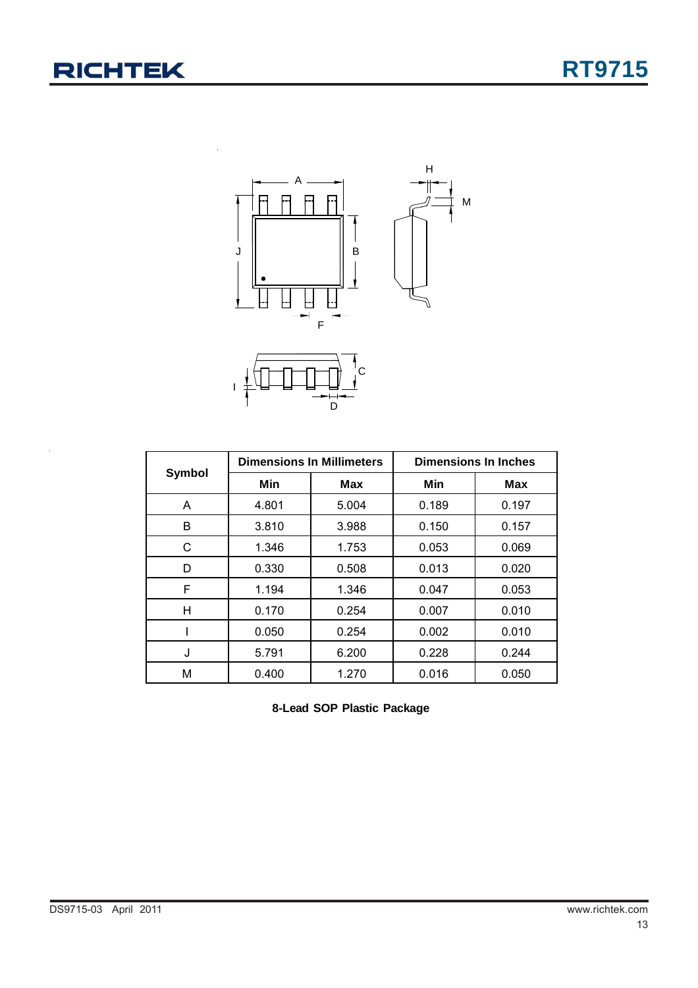

|        | <b>Dimensions In Millimeters</b> |       | <b>Dimensions In Inches</b> |            |  |
|--------|----------------------------------|-------|-----------------------------|------------|--|
| Symbol | Min                              | Max   | Min                         | <b>Max</b> |  |
| A      | 4.801                            | 5.004 | 0.189                       | 0.197      |  |
| B      | 3.810                            | 3.988 | 0.150                       | 0.157      |  |
| C      | 1.346                            | 1.753 | 0.053                       | 0.069      |  |
| D      | 0.330                            | 0.508 | 0.013                       | 0.020      |  |
| F      | 1.194                            | 1.346 | 0.047                       | 0.053      |  |
| н      | 0.170                            | 0.254 | 0.007                       | 0.010      |  |
|        | 0.050                            | 0.254 | 0.002                       | 0.010      |  |
| J      | 5.791                            | 6.200 | 0.228                       | 0.244      |  |
| М      | 0.400                            | 1.270 | 0.016                       | 0.050      |  |

**8-Lead SOP Plastic Package**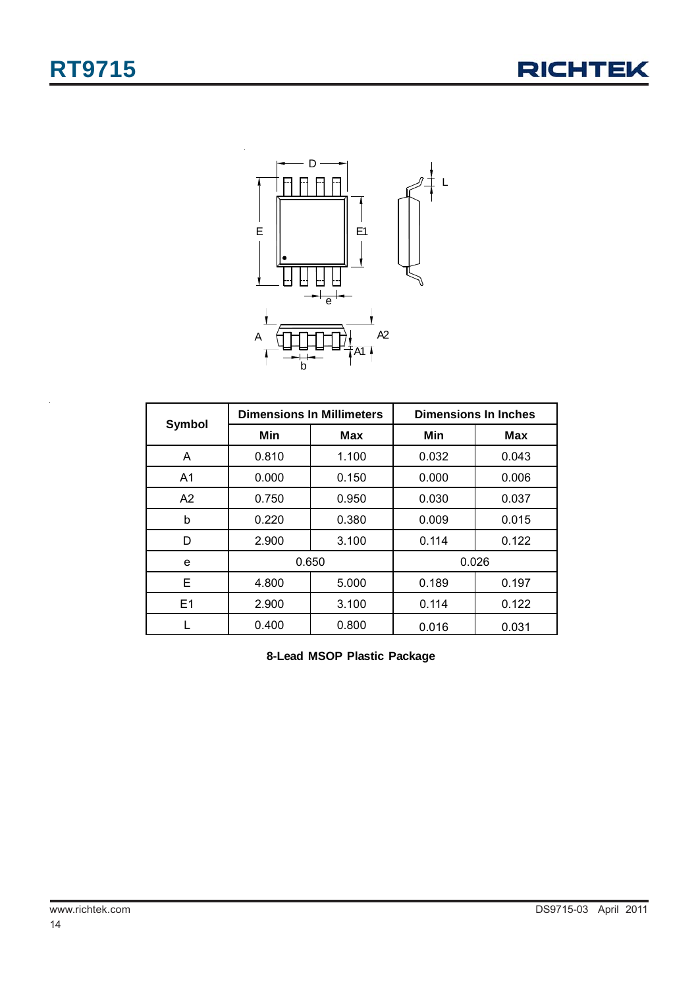



|                |       | <b>Dimensions In Millimeters</b> | <b>Dimensions In Inches</b> |       |  |
|----------------|-------|----------------------------------|-----------------------------|-------|--|
| Symbol         | Min   | <b>Max</b>                       | Min                         | Max   |  |
| A              | 0.810 | 1.100                            | 0.032                       | 0.043 |  |
| A <sub>1</sub> | 0.000 | 0.150                            | 0.000                       | 0.006 |  |
| A2             | 0.750 | 0.950                            | 0.030                       | 0.037 |  |
| b              | 0.220 | 0.380                            | 0.009                       | 0.015 |  |
| D              | 2.900 | 3.100                            | 0.114                       | 0.122 |  |
| e              | 0.650 |                                  | 0.026                       |       |  |
| Е              | 4.800 | 5.000                            | 0.189                       | 0.197 |  |
| E1             | 2.900 | 3.100                            | 0.114                       | 0.122 |  |
|                | 0.400 | 0.800                            | 0.016                       | 0.031 |  |

**8-Lead MSOP Plastic Package**